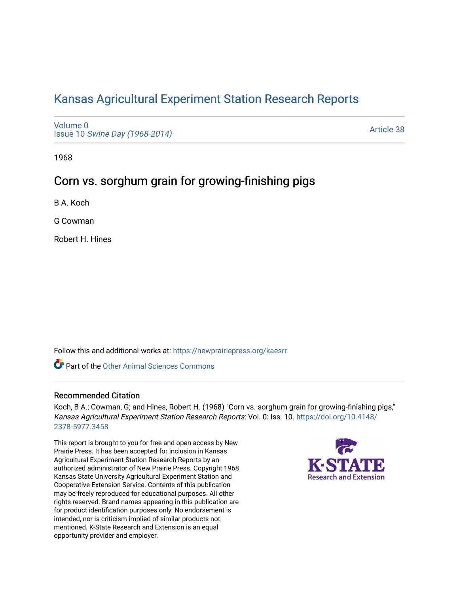# [Kansas Agricultural Experiment Station Research Reports](https://newprairiepress.org/kaesrr)

[Volume 0](https://newprairiepress.org/kaesrr/vol0) Issue 10 [Swine Day \(1968-2014\)](https://newprairiepress.org/kaesrr/vol0/iss10)

[Article 38](https://newprairiepress.org/kaesrr/vol0/iss10/38) 

1968

# Corn vs. sorghum grain for growing-finishing pigs

B A. Koch

G Cowman

Robert H. Hines

Follow this and additional works at: [https://newprairiepress.org/kaesrr](https://newprairiepress.org/kaesrr?utm_source=newprairiepress.org%2Fkaesrr%2Fvol0%2Fiss10%2F38&utm_medium=PDF&utm_campaign=PDFCoverPages) 

**C** Part of the [Other Animal Sciences Commons](http://network.bepress.com/hgg/discipline/82?utm_source=newprairiepress.org%2Fkaesrr%2Fvol0%2Fiss10%2F38&utm_medium=PDF&utm_campaign=PDFCoverPages)

#### Recommended Citation

Koch, B A.; Cowman, G; and Hines, Robert H. (1968) "Corn vs. sorghum grain for growing-finishing pigs," Kansas Agricultural Experiment Station Research Reports: Vol. 0: Iss. 10. [https://doi.org/10.4148/](https://doi.org/10.4148/2378-5977.3458) [2378-5977.3458](https://doi.org/10.4148/2378-5977.3458) 

This report is brought to you for free and open access by New Prairie Press. It has been accepted for inclusion in Kansas Agricultural Experiment Station Research Reports by an authorized administrator of New Prairie Press. Copyright 1968 Kansas State University Agricultural Experiment Station and Cooperative Extension Service. Contents of this publication may be freely reproduced for educational purposes. All other rights reserved. Brand names appearing in this publication are for product identification purposes only. No endorsement is intended, nor is criticism implied of similar products not mentioned. K-State Research and Extension is an equal opportunity provider and employer.

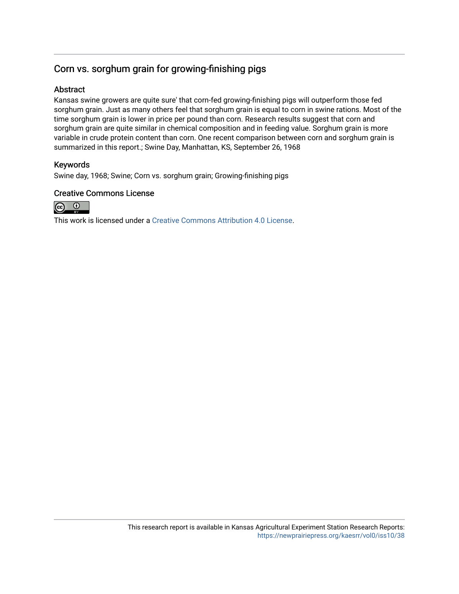## Corn vs. sorghum grain for growing-finishing pigs

### Abstract

Kansas swine growers are quite sure' that corn-fed growing-finishing pigs will outperform those fed sorghum grain. Just as many others feel that sorghum grain is equal to corn in swine rations. Most of the time sorghum grain is lower in price per pound than corn. Research results suggest that corn and sorghum grain are quite similar in chemical composition and in feeding value. Sorghum grain is more variable in crude protein content than corn. One recent comparison between corn and sorghum grain is summarized in this report.; Swine Day, Manhattan, KS, September 26, 1968

### Keywords

Swine day, 1968; Swine; Corn vs. sorghum grain; Growing-finishing pigs

### Creative Commons License



This work is licensed under a [Creative Commons Attribution 4.0 License](https://creativecommons.org/licenses/by/4.0/).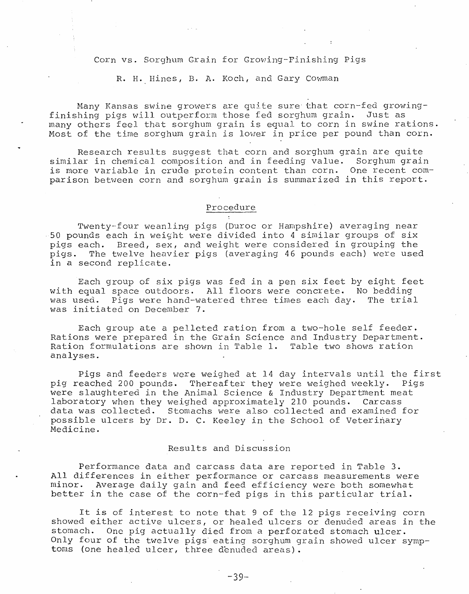Corn vs. Sorghum Grain for Growing-Finishing Pigs

R. H. Hines, B. A. Koch, and Gary Cowman

Many Kansas swine growers are quite sure that corn-fed growingfinishing pigs will outperform those fed sorghum grain. Just as many others feel that sorghum grain is equal to corn in swine rations. Most of the time sorghum grain is lower in price per pound than corn.

Research results suggest that corn and sorghum grain are quite similar in chemical composition and in feeding value. Sorghum grain is more variable in crude protein content than corn. One recent comparison between corn and sorghum grain is summarized in this report.

#### Procedure

Twenty-four weanling pigs (Duroc or Hampshire) averaging near 50 pounds each in weight were divided into 4 similar groups of six pigs each. Breed, sex, and weight were considered in grouping the pigs. The twelve heavier pigs (averaging 46 pounds each) were used in a second replicate.

Each group of six pigs was fed in a pen six feet by eight feet with equal space outdoors. All floors were concrete. No bedding was used. Pigs were hand-watered three times each day. The trial was initiated on December 7.

Each group ate a pelleted ration from a two-hole self feeder. Rations were prepared in the Grain Science and Industry Department. Ration formulations are shown in Table 1. Table two shows ration analyses.

Pigs and feeders were weighed at 14 day intervals until the first pig reached 200 pounds. Thereafter they were weighed weekly. Pigs<br>were slaughtered in the Animal Science & Industry Department meat laboratory when they weighed approximately 210 pounds. Carcass data was collected. Stomachs were also collected and examined for possible ulcers by Dr. D. C. Keeley in the School of Veterinary Medicine.

#### Results and Discussion

Performance data and carcass data are reported in Table 3. All differences in either performance or carcass measurements were minor. Average daily gain and feed efficiency were both somewhat better in the case of the corn-fed pigs in this particular trial.

It is of interest to note that 9 of the 12 pigs receiving corn showed either active ulcers, or healed ulcers or denuded areas in the stomach. One pig actually died from a perforated stomach ulcer. Only four of the twelve pigs eating sorghum grain showed ulcer symptoms (one healed ulcer, three denuded areas).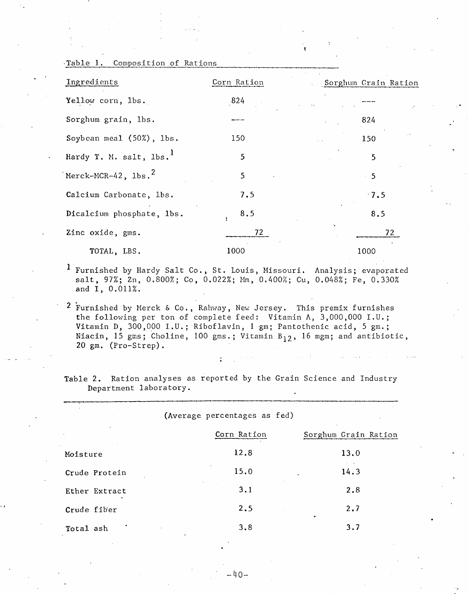| Ingredients                         | Corn Ration | Sorghum Grain Ration |
|-------------------------------------|-------------|----------------------|
| Yellow corn, 1bs.                   | 824         |                      |
| Sorghum grain, lbs.                 |             | 824                  |
| Soybean meal (50%), lbs.            | 150         | 150                  |
| Hardy T. M. salt, lbs. <sup>1</sup> | 5           | 5                    |
| Merck-MCR-42, $\text{1bs.}^2$       | 5           | 5                    |
| Calcium Carbonate, lbs.             | 7.5         | $\cdot$ 7.5          |
| Dicalcium phosphate, lbs.           | 8.5         | 8.5                  |
| Zinc oxide, gms.                    | 72          | 72                   |
| TOTAL, LBS.                         | 1000        | 1000                 |

<sup>1</sup> Furnished by Hardy Salt Co., St. Louis, Missouri. Analysis; evaporated salt, 97%; Zn, 0.800%; Co, 0.022%; Mm, 0.400%; Cu, 0.048%; Fe, 0.330% and I, 0.011%.

2 Furnished by Merck & Co., Rahway, New Jersey. This premix furnishes the following per ton of complete feed: Vitamin A, 3,000,000 I.U.;<br>Vitamin D, 300,000 I.U.; Riboflavin, 1 gm; Pantothenic acid, 5 gm.; Niacin, 15 gms; Choline, 100 gms.; Vitamin B<sub>12</sub>, 16 mgm; and antibiotic, 20 gm. (Pro-Strep).

Table 2. Ration analyses as reported by the Grain Science and Industry Department laboratory.

(Average percentages as fed)

|               | Corn Ration | Sorghum Grain Ration |
|---------------|-------------|----------------------|
| Moisture      | 12.8        | 13.0                 |
| Crude Protein | 15.0        | 14.3                 |
| Ether Extract | 3.1         | 2.8                  |
| Crude fiber   | 2.5         | 2.7                  |
| Total ash     | 3.8         | 3.7                  |

Table 1. Composition of Rations

-40-